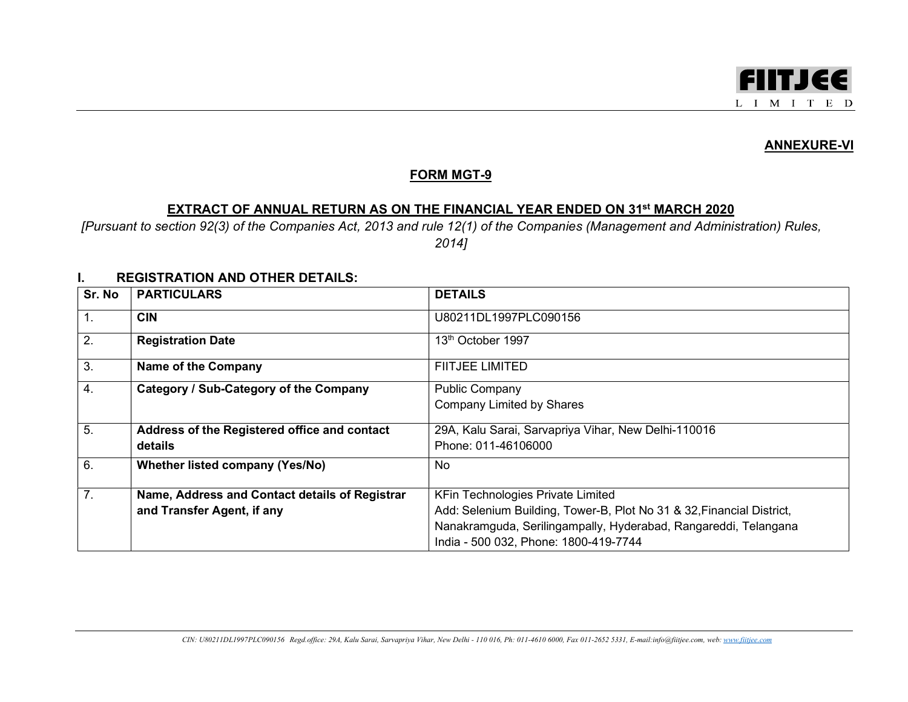

## ANNEXURE-VI

## FORM MGT-9

## EXTRACT OF ANNUAL RETURN AS ON THE FINANCIAL YEAR ENDED ON 31st MARCH 2020

[Pursuant to section 92(3) of the Companies Act, 2013 and rule 12(1) of the Companies (Management and Administration) Rules, 2014]

## I. REGISTRATION AND OTHER DETAILS:

| Sr. No           | <b>PARTICULARS</b>                             | <b>DETAILS</b>                                                                                           |
|------------------|------------------------------------------------|----------------------------------------------------------------------------------------------------------|
| $\mathbf{1}$ .   | <b>CIN</b>                                     | U80211DL1997PLC090156                                                                                    |
| 2.               | <b>Registration Date</b>                       | 13 <sup>th</sup> October 1997                                                                            |
| 3.               | <b>Name of the Company</b>                     | <b>FIITJEE LIMITED</b>                                                                                   |
| $\overline{4}$ . | Category / Sub-Category of the Company         | <b>Public Company</b>                                                                                    |
|                  |                                                | <b>Company Limited by Shares</b>                                                                         |
| 5.               | Address of the Registered office and contact   | 29A, Kalu Sarai, Sarvapriya Vihar, New Delhi-110016                                                      |
|                  | details                                        | Phone: 011-46106000                                                                                      |
| 6.               | Whether listed company (Yes/No)                | No                                                                                                       |
| 7 <sub>1</sub>   | Name, Address and Contact details of Registrar | <b>KFin Technologies Private Limited</b>                                                                 |
|                  | and Transfer Agent, if any                     | Add: Selenium Building, Tower-B, Plot No 31 & 32, Financial District,                                    |
|                  |                                                | Nanakramguda, Serilingampally, Hyderabad, Rangareddi, Telangana<br>India - 500 032, Phone: 1800-419-7744 |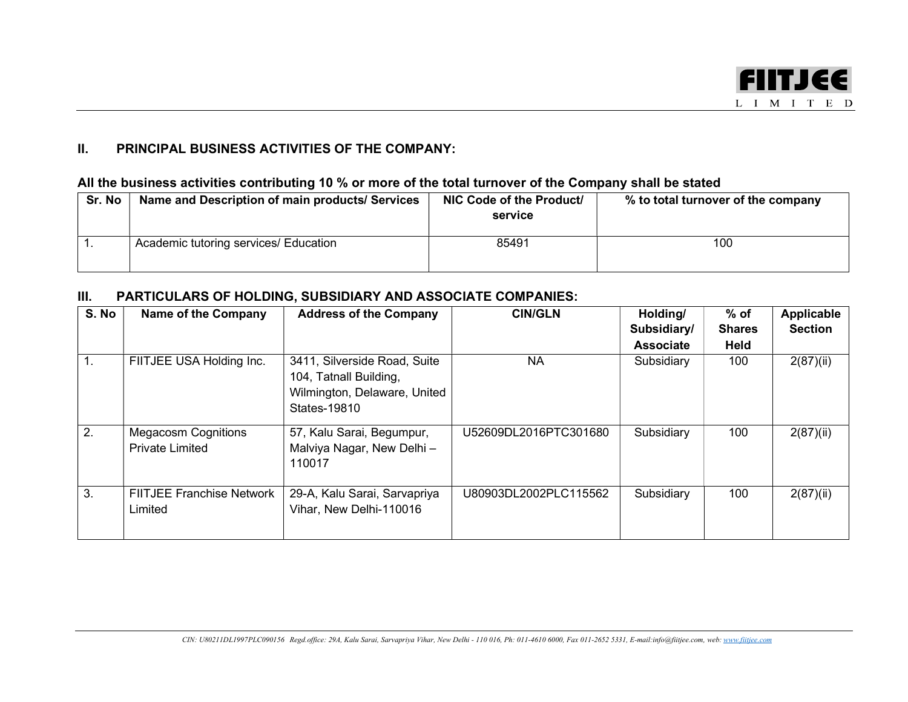

## II. PRINCIPAL BUSINESS ACTIVITIES OF THE COMPANY:

## All the business activities contributing 10 % or more of the total turnover of the Company shall be stated

| Sr. No | Name and Description of main products/ Services | NIC Code of the Product/<br>service | % to total turnover of the company |
|--------|-------------------------------------------------|-------------------------------------|------------------------------------|
|        | Academic tutoring services/ Education           | 85491                               | 100                                |

## III. PARTICULARS OF HOLDING, SUBSIDIARY AND ASSOCIATE COMPANIES:

| S. No          | <b>Name of the Company</b>                           | <b>Address of the Company</b>                                                                          | <b>CIN/GLN</b>        | Holding/<br>Subsidiary/ | $%$ of<br><b>Shares</b> | <b>Applicable</b><br><b>Section</b> |
|----------------|------------------------------------------------------|--------------------------------------------------------------------------------------------------------|-----------------------|-------------------------|-------------------------|-------------------------------------|
|                |                                                      |                                                                                                        |                       | <b>Associate</b>        | <b>Held</b>             |                                     |
| $\mathbf{1}$ . | FIITJEE USA Holding Inc.                             | 3411, Silverside Road, Suite<br>104, Tatnall Building,<br>Wilmington, Delaware, United<br>States-19810 | NА                    | Subsidiary              | 100                     | 2(87)(ii)                           |
| 2.             | <b>Megacosm Cognitions</b><br><b>Private Limited</b> | 57, Kalu Sarai, Begumpur,<br>Malviya Nagar, New Delhi -<br>110017                                      | U52609DL2016PTC301680 | Subsidiary              | 100                     | 2(87)(ii)                           |
| 3.             | <b>FIITJEE Franchise Network</b><br>Limited          | 29-A, Kalu Sarai, Sarvapriya<br>Vihar, New Delhi-110016                                                | U80903DL2002PLC115562 | Subsidiary              | 100                     | 2(87)(ii)                           |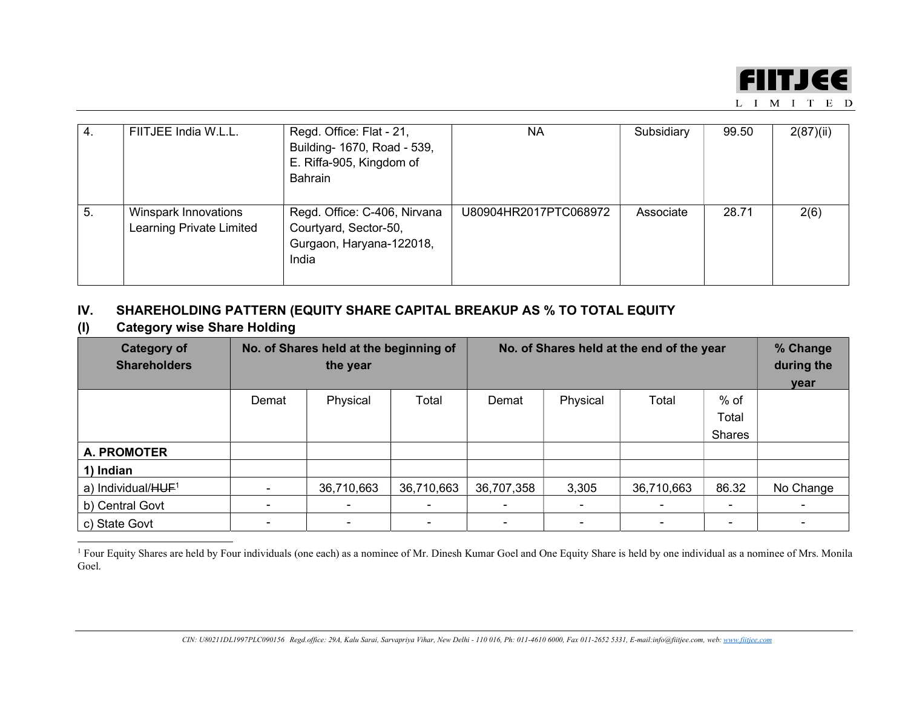

| $-4.$ | FIITJEE India W.L.L.                             | Regd. Office: Flat - 21,<br>Building- 1670, Road - 539,<br>E. Riffa-905, Kingdom of<br>Bahrain | ΝA                    | Subsidiary | 99.50 | 2(87)(ii) |
|-------|--------------------------------------------------|------------------------------------------------------------------------------------------------|-----------------------|------------|-------|-----------|
| -5.   | Winspark Innovations<br>Learning Private Limited | Regd. Office: C-406, Nirvana<br>Courtyard, Sector-50,<br>Gurgaon, Haryana-122018,<br>India     | U80904HR2017PTC068972 | Associate  | 28.71 | 2(6)      |

## IV. SHAREHOLDING PATTERN (EQUITY SHARE CAPITAL BREAKUP AS % TO TOTAL EQUITY

(I) Category wise Share Holding

| <b>Category of</b><br><b>Shareholders</b> | No. of Shares held at the beginning of<br>the year |                          |            | No. of Shares held at the end of the year |          |                |        | % Change<br>during the<br>year |
|-------------------------------------------|----------------------------------------------------|--------------------------|------------|-------------------------------------------|----------|----------------|--------|--------------------------------|
|                                           | Demat                                              | Physical                 | Total      | Demat                                     | Physical | Total          | $%$ of |                                |
|                                           |                                                    |                          |            |                                           |          |                | Total  |                                |
|                                           |                                                    |                          |            |                                           |          |                | Shares |                                |
| <b>A. PROMOTER</b>                        |                                                    |                          |            |                                           |          |                |        |                                |
| 1) Indian                                 |                                                    |                          |            |                                           |          |                |        |                                |
| a) Individual/HUF <sup>1</sup>            | $\,$                                               | 36,710,663               | 36,710,663 | 36,707,358                                | 3,305    | 36,710,663     | 86.32  | No Change                      |
| b) Central Govt                           |                                                    | $\overline{\phantom{0}}$ |            |                                           |          |                |        |                                |
| c) State Govt                             | $\,$                                               | $\blacksquare$           |            |                                           |          | $\blacksquare$ |        |                                |

<sup>&</sup>lt;sup>1</sup> Four Equity Shares are held by Four individuals (one each) as a nominee of Mr. Dinesh Kumar Goel and One Equity Share is held by one individual as a nominee of Mrs. Monila Goel.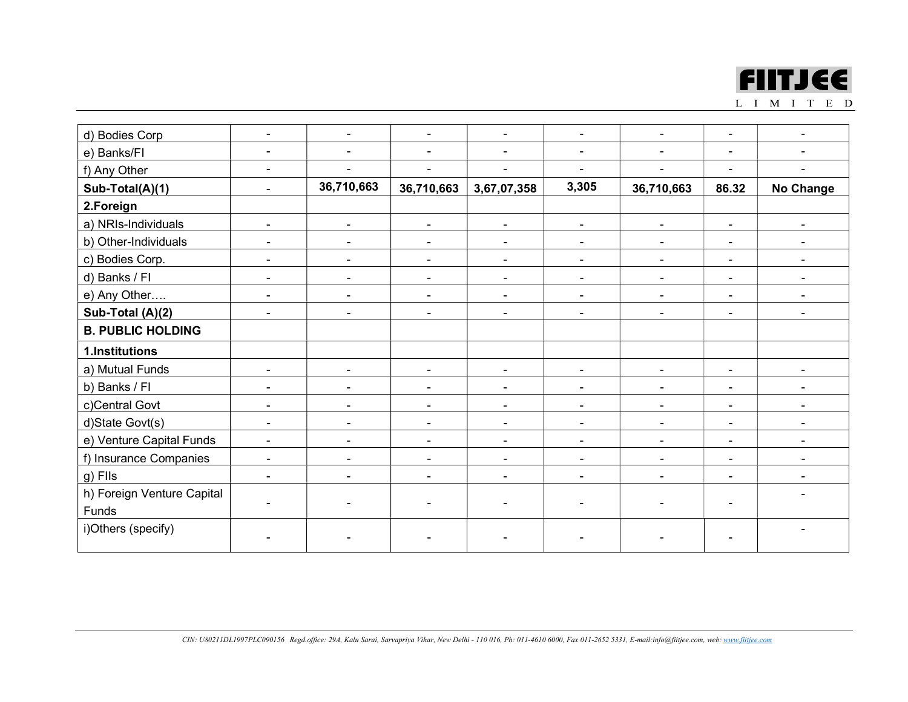

| d) Bodies Corp             |                              |                          |                          |                          |                          |                              |                          |                          |
|----------------------------|------------------------------|--------------------------|--------------------------|--------------------------|--------------------------|------------------------------|--------------------------|--------------------------|
| e) Banks/FI                | $\overline{\phantom{0}}$     |                          |                          |                          | $\overline{\phantom{0}}$ | $\blacksquare$               | $\overline{a}$           |                          |
| f) Any Other               | $\overline{\phantom{a}}$     |                          |                          |                          |                          |                              |                          |                          |
| Sub-Total(A)(1)            | $\overline{\phantom{a}}$     | 36,710,663               | 36,710,663               | 3,67,07,358              | 3,305                    | 36,710,663                   | 86.32                    | <b>No Change</b>         |
| 2.Foreign                  |                              |                          |                          |                          |                          |                              |                          |                          |
| a) NRIs-Individuals        | $\overline{\phantom{a}}$     | $\overline{\phantom{a}}$ | $\blacksquare$           | $\blacksquare$           | $\overline{\phantom{0}}$ | $\overline{\phantom{a}}$     | $\blacksquare$           | $\overline{\phantom{0}}$ |
| b) Other-Individuals       | $\overline{\phantom{a}}$     | $\overline{\phantom{a}}$ | $\overline{\phantom{0}}$ | $\overline{\phantom{a}}$ | $\overline{\phantom{0}}$ | $\blacksquare$               | $\overline{\phantom{a}}$ |                          |
| c) Bodies Corp.            | $\overline{\phantom{a}}$     | $\overline{\phantom{a}}$ | $\overline{\phantom{a}}$ | $\blacksquare$           | $\overline{\phantom{a}}$ | $\blacksquare$               | $\overline{\phantom{a}}$ |                          |
| d) Banks / Fl              | $\overline{\phantom{a}}$     | $\blacksquare$           | $\overline{\phantom{0}}$ | $\blacksquare$           | $\overline{\phantom{a}}$ | $\blacksquare$               | $\blacksquare$           |                          |
| e) Any Other               | $\overline{\phantom{a}}$     | -                        | $\blacksquare$           | $\blacksquare$           | $\overline{\phantom{a}}$ |                              | $\blacksquare$           |                          |
| Sub-Total (A)(2)           | $\overline{\phantom{a}}$     | $\overline{\phantom{0}}$ | $\blacksquare$           |                          |                          |                              |                          |                          |
| <b>B. PUBLIC HOLDING</b>   |                              |                          |                          |                          |                          |                              |                          |                          |
| 1.Institutions             |                              |                          |                          |                          |                          |                              |                          |                          |
| a) Mutual Funds            | $\blacksquare$               | $\overline{\phantom{a}}$ | $\overline{\phantom{0}}$ | $\blacksquare$           | $\overline{\phantom{0}}$ | $\blacksquare$               | $\overline{\phantom{a}}$ |                          |
| b) Banks / FI              | $\qquad \qquad \blacksquare$ | -                        | $\blacksquare$           | $\blacksquare$           | $\overline{\phantom{a}}$ |                              | $\blacksquare$           |                          |
| c)Central Govt             | $\overline{\phantom{a}}$     | -                        | $\blacksquare$           |                          |                          | $\qquad \qquad \blacksquare$ | $\overline{\phantom{0}}$ |                          |
| d)State Govt(s)            | $\overline{\phantom{a}}$     | $\blacksquare$           | $\overline{\phantom{a}}$ | $\blacksquare$           | $\overline{\phantom{a}}$ | $\qquad \qquad \blacksquare$ | $\overline{a}$           |                          |
| e) Venture Capital Funds   | $\overline{\phantom{a}}$     | $\overline{\phantom{a}}$ | $\blacksquare$           | $\overline{\phantom{a}}$ | $\overline{\phantom{a}}$ | $\blacksquare$               | $\overline{\phantom{0}}$ |                          |
| f) Insurance Companies     | $\blacksquare$               | $\blacksquare$           | $\blacksquare$           | $\blacksquare$           | $\blacksquare$           | $\blacksquare$               | $\overline{\phantom{a}}$ | $\blacksquare$           |
| $g)$ FIIs                  | $\overline{\phantom{a}}$     | $\overline{\phantom{a}}$ | $\overline{\phantom{a}}$ | $\blacksquare$           | $\overline{\phantom{0}}$ | $\blacksquare$               | $\overline{\phantom{a}}$ |                          |
| h) Foreign Venture Capital |                              |                          |                          |                          |                          |                              |                          |                          |
| Funds                      |                              |                          |                          |                          |                          |                              |                          |                          |
| i)Others (specify)         |                              |                          |                          |                          |                          |                              |                          |                          |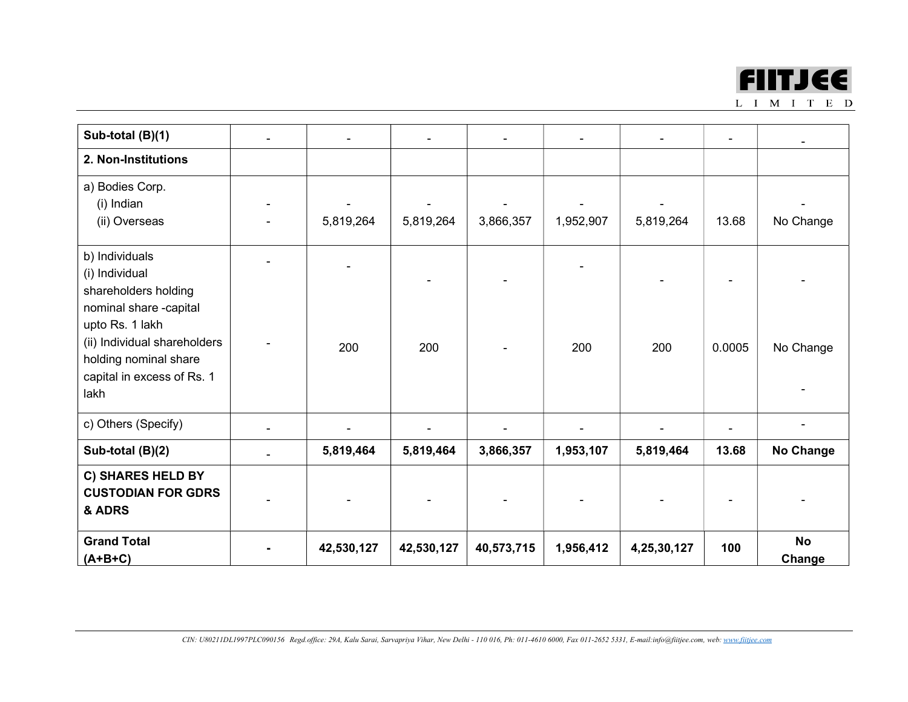

| Sub-total (B)(1)                    |            |            |            |           |             | $\qquad \qquad \blacksquare$ |                  |
|-------------------------------------|------------|------------|------------|-----------|-------------|------------------------------|------------------|
| 2. Non-Institutions                 |            |            |            |           |             |                              |                  |
| a) Bodies Corp.                     |            |            |            |           |             |                              |                  |
| (i) Indian                          |            |            |            |           |             |                              |                  |
| (ii) Overseas                       | 5,819,264  | 5,819,264  | 3,866,357  | 1,952,907 | 5,819,264   | 13.68                        | No Change        |
| b) Individuals                      |            |            |            |           |             |                              |                  |
| (i) Individual                      |            |            |            |           |             |                              |                  |
| shareholders holding                |            |            |            |           |             |                              |                  |
| nominal share -capital              |            |            |            |           |             |                              |                  |
| upto Rs. 1 lakh                     |            |            |            |           |             |                              |                  |
| (ii) Individual shareholders        | 200        | 200        |            | 200       | 200         | 0.0005                       | No Change        |
| holding nominal share               |            |            |            |           |             |                              |                  |
| capital in excess of Rs. 1          |            |            |            |           |             |                              |                  |
| lakh                                |            |            |            |           |             |                              |                  |
| c) Others (Specify)                 |            |            |            |           |             |                              |                  |
| Sub-total (B)(2)                    | 5,819,464  | 5,819,464  | 3,866,357  | 1,953,107 | 5,819,464   | 13.68                        | <b>No Change</b> |
| C) SHARES HELD BY                   |            |            |            |           |             |                              |                  |
| <b>CUSTODIAN FOR GDRS</b><br>& ADRS |            |            |            |           |             |                              |                  |
| <b>Grand Total</b>                  |            |            |            |           |             |                              | <b>No</b>        |
| $(A+B+C)$                           | 42,530,127 | 42,530,127 | 40,573,715 | 1,956,412 | 4,25,30,127 | 100                          | Change           |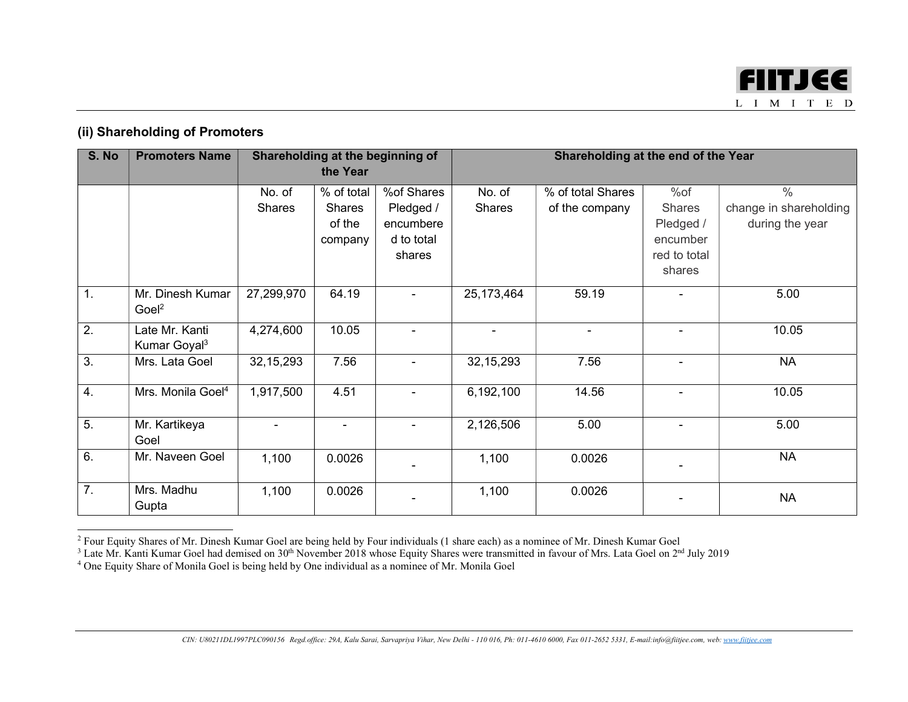

## (ii) Shareholding of Promoters

| S. No            | <b>Promoters Name</b>         |                | the Year   | Shareholding at the beginning of |               | Shareholding at the end of the Year |                          |                        |
|------------------|-------------------------------|----------------|------------|----------------------------------|---------------|-------------------------------------|--------------------------|------------------------|
|                  |                               |                |            |                                  |               |                                     |                          |                        |
|                  |                               | No. of         | % of total | %of Shares                       | No. of        | % of total Shares                   | %of                      | $\frac{0}{0}$          |
|                  |                               | <b>Shares</b>  | Shares     | Pledged /                        | <b>Shares</b> | of the company                      | <b>Shares</b>            | change in shareholding |
|                  |                               |                | of the     | encumbere                        |               |                                     | Pledged /                | during the year        |
|                  |                               |                | company    | d to total                       |               |                                     | encumber                 |                        |
|                  |                               |                |            | shares                           |               |                                     | red to total             |                        |
|                  |                               |                |            |                                  |               |                                     | shares                   |                        |
| $\overline{1}$ . | Mr. Dinesh Kumar              | 27,299,970     | 64.19      |                                  | 25,173,464    | 59.19                               |                          | 5.00                   |
|                  | Goel <sup>2</sup>             |                |            |                                  |               |                                     |                          |                        |
| $\overline{2}$ . | Late Mr. Kanti                | 4,274,600      | 10.05      |                                  |               |                                     |                          | 10.05                  |
|                  | Kumar Goyal <sup>3</sup>      |                |            |                                  |               |                                     |                          |                        |
| 3.               | Mrs. Lata Goel                | 32, 15, 293    | 7.56       |                                  | 32, 15, 293   | 7.56                                | $\overline{\phantom{a}}$ | <b>NA</b>              |
|                  |                               |                |            |                                  |               |                                     |                          |                        |
| $\overline{4}$ . | Mrs. Monila Goel <sup>4</sup> | 1,917,500      | 4.51       | $\overline{\phantom{a}}$         | 6,192,100     | 14.56                               | $\overline{\phantom{a}}$ | 10.05                  |
|                  |                               |                |            |                                  |               |                                     |                          |                        |
| $\overline{5}$ . | Mr. Kartikeya                 | $\blacksquare$ |            | $\blacksquare$                   | 2,126,506     | 5.00                                | $\blacksquare$           | 5.00                   |
|                  | Goel                          |                |            |                                  |               |                                     |                          |                        |
| 6.               | Mr. Naveen Goel               | 1,100          | 0.0026     |                                  | 1,100         | 0.0026                              |                          | <b>NA</b>              |
|                  |                               |                |            |                                  |               |                                     |                          |                        |
| $\overline{7}$ . | Mrs. Madhu                    | 1,100          | 0.0026     |                                  | 1,100         | 0.0026                              |                          | <b>NA</b>              |
|                  | Gupta                         |                |            |                                  |               |                                     |                          |                        |

<sup>&</sup>lt;sup>2</sup> Four Equity Shares of Mr. Dinesh Kumar Goel are being held by Four individuals (1 share each) as a nominee of Mr. Dinesh Kumar Goel<br><sup>3</sup> Late Mr. Kanti Kumar Goel had demised on 30<sup>th</sup> November 2018 whose Equity Shares

<sup>4</sup> One Equity Share of Monila Goel is being held by One individual as a nominee of Mr. Monila Goel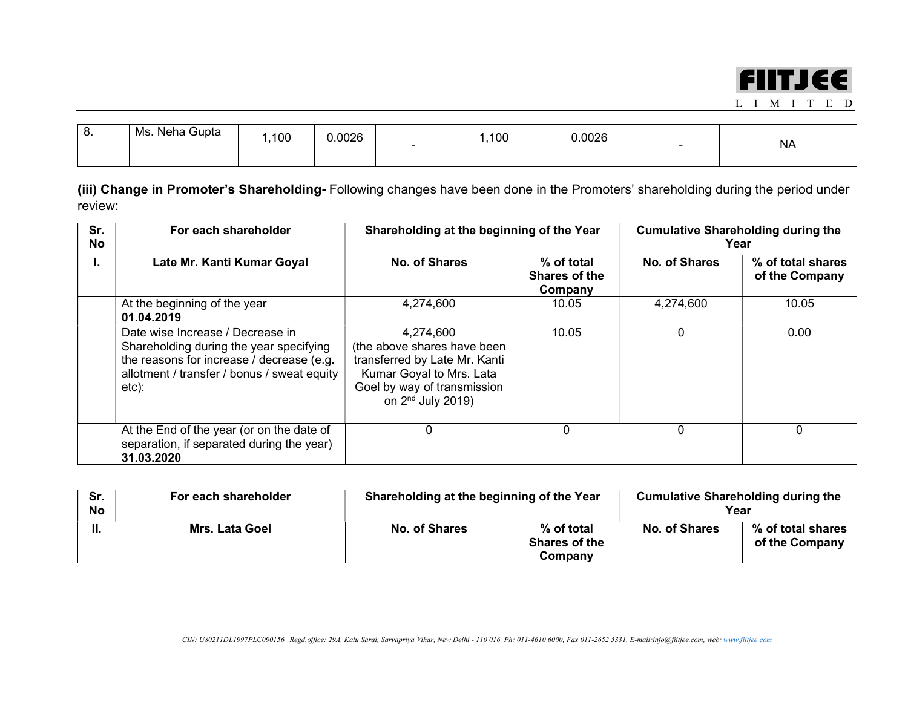

| Ms.<br><br>. v. | . Neha Gupta<br>100 | 0.0026<br>$\overline{\phantom{0}}$ | ,100 | .0026<br>. |  | <b>NA</b> |
|-----------------|---------------------|------------------------------------|------|------------|--|-----------|
|-----------------|---------------------|------------------------------------|------|------------|--|-----------|

(iii) Change in Promoter's Shareholding- Following changes have been done in the Promoters' shareholding during the period under review:

| Sr.<br><b>No</b> | For each shareholder                                                                                                                                                             | Shareholding at the beginning of the Year                                                                                                                   |                                        | <b>Cumulative Shareholding during the</b><br>Year |                                     |  |
|------------------|----------------------------------------------------------------------------------------------------------------------------------------------------------------------------------|-------------------------------------------------------------------------------------------------------------------------------------------------------------|----------------------------------------|---------------------------------------------------|-------------------------------------|--|
| Ъ.               | Late Mr. Kanti Kumar Goyal                                                                                                                                                       | <b>No. of Shares</b>                                                                                                                                        | % of total<br>Shares of the<br>Company | No. of Shares                                     | % of total shares<br>of the Company |  |
|                  | At the beginning of the year<br>01.04.2019                                                                                                                                       | 4,274,600                                                                                                                                                   | 10.05                                  | 4,274,600                                         | 10.05                               |  |
|                  | Date wise Increase / Decrease in<br>Shareholding during the year specifying<br>the reasons for increase / decrease (e.g.<br>allotment / transfer / bonus / sweat equity<br>etc): | 4,274,600<br>(the above shares have been<br>transferred by Late Mr. Kanti<br>Kumar Goyal to Mrs. Lata<br>Goel by way of transmission<br>on $2nd$ July 2019) | 10.05                                  | 0                                                 | 0.00                                |  |
|                  | At the End of the year (or on the date of<br>separation, if separated during the year)<br>31.03.2020                                                                             | 0                                                                                                                                                           | 0                                      | $\Omega$                                          | 0                                   |  |

| Sr.<br><b>No</b> | For each shareholder  | Shareholding at the beginning of the Year |                                               |               | <b>Cumulative Shareholding during the</b><br>Year |
|------------------|-----------------------|-------------------------------------------|-----------------------------------------------|---------------|---------------------------------------------------|
| Н.               | <b>Mrs. Lata Goel</b> | No. of Shares                             | % of total<br><b>Shares of the</b><br>Company | No. of Shares | % of total shares<br>of the Company               |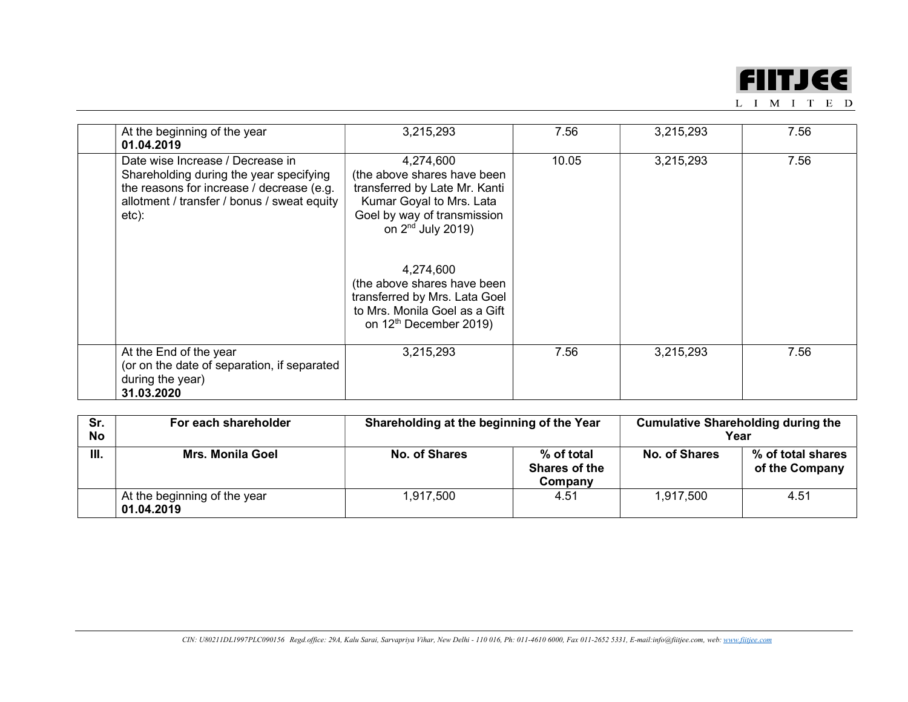

| At the beginning of the year<br>01.04.2019                                                                                                                                       | 3,215,293                                                                                                                                                                                                                                                                                                                 | 7.56  | 3,215,293 | 7.56 |
|----------------------------------------------------------------------------------------------------------------------------------------------------------------------------------|---------------------------------------------------------------------------------------------------------------------------------------------------------------------------------------------------------------------------------------------------------------------------------------------------------------------------|-------|-----------|------|
| Date wise Increase / Decrease in<br>Shareholding during the year specifying<br>the reasons for increase / decrease (e.g.<br>allotment / transfer / bonus / sweat equity<br>etc): | 4,274,600<br>(the above shares have been<br>transferred by Late Mr. Kanti<br>Kumar Goyal to Mrs. Lata<br>Goel by way of transmission<br>on 2 <sup>nd</sup> July 2019)<br>4,274,600<br>(the above shares have been<br>transferred by Mrs. Lata Goel<br>to Mrs. Monila Goel as a Gift<br>on 12 <sup>th</sup> December 2019) | 10.05 | 3,215,293 | 7.56 |
| At the End of the year<br>(or on the date of separation, if separated<br>during the year)<br>31.03.2020                                                                          | 3,215,293                                                                                                                                                                                                                                                                                                                 | 7.56  | 3,215,293 | 7.56 |

| Sr.<br>No | For each shareholder                       | Shareholding at the beginning of the Year |                                          | <b>Cumulative Shareholding during the</b><br>Year |                                     |
|-----------|--------------------------------------------|-------------------------------------------|------------------------------------------|---------------------------------------------------|-------------------------------------|
| III.      | <b>Mrs. Monila Goel</b>                    | No. of Shares                             | $%$ of total<br>Shares of the<br>Company | No. of Shares                                     | % of total shares<br>of the Company |
|           | At the beginning of the year<br>01.04.2019 | 1,917,500                                 | 4.51                                     | 1,917,500                                         | 4.51                                |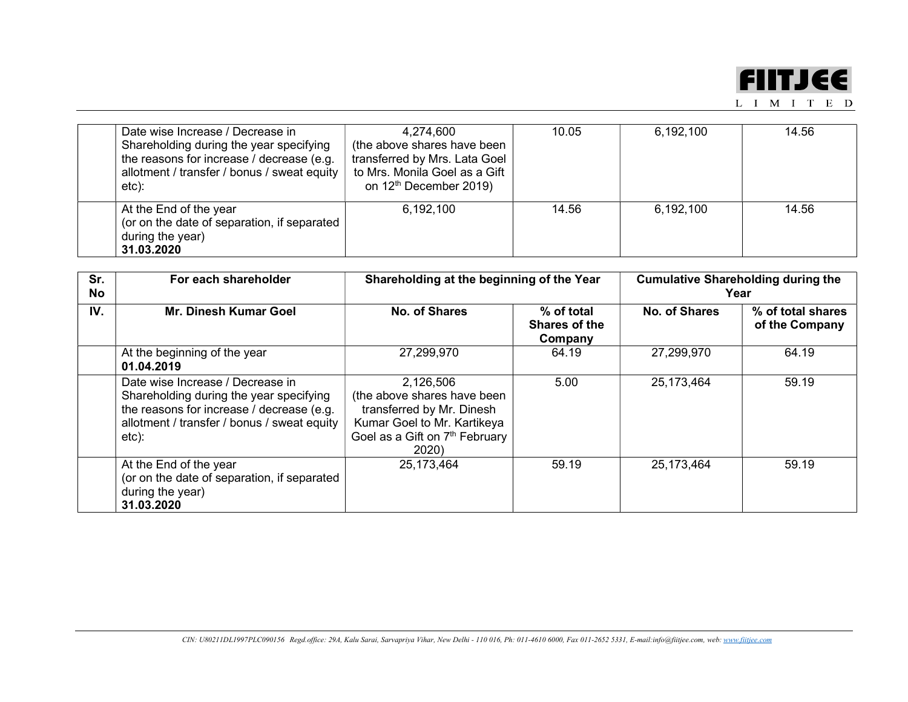

| Date wise Increase / Decrease in<br>Shareholding during the year specifying<br>the reasons for increase / decrease (e.g.<br>allotment / transfer / bonus / sweat equity<br>etc): | 4,274,600<br>(the above shares have been<br>transferred by Mrs. Lata Goel<br>to Mrs. Monila Goel as a Gift<br>on 12 <sup>th</sup> December 2019) | 10.05 | 6,192,100 | 14.56 |
|----------------------------------------------------------------------------------------------------------------------------------------------------------------------------------|--------------------------------------------------------------------------------------------------------------------------------------------------|-------|-----------|-------|
| At the End of the year<br>(or on the date of separation, if separated<br>during the year)<br>31.03.2020                                                                          | 6,192,100                                                                                                                                        | 14.56 | 6,192,100 | 14.56 |

| Sr.<br>No | For each shareholder                                                                                                                                                             | Shareholding at the beginning of the Year                                                                                                                   |                                        | <b>Cumulative Shareholding during the</b><br>Year |                                     |
|-----------|----------------------------------------------------------------------------------------------------------------------------------------------------------------------------------|-------------------------------------------------------------------------------------------------------------------------------------------------------------|----------------------------------------|---------------------------------------------------|-------------------------------------|
| IV.       | <b>Mr. Dinesh Kumar Goel</b>                                                                                                                                                     | No. of Shares                                                                                                                                               | % of total<br>Shares of the<br>Company | No. of Shares                                     | % of total shares<br>of the Company |
|           | At the beginning of the year<br>01.04.2019                                                                                                                                       | 27,299,970                                                                                                                                                  | 64.19                                  | 27,299,970                                        | 64.19                               |
|           | Date wise Increase / Decrease in<br>Shareholding during the year specifying<br>the reasons for increase / decrease (e.g.<br>allotment / transfer / bonus / sweat equity<br>etc): | 2,126,506<br>(the above shares have been<br>transferred by Mr. Dinesh<br>Kumar Goel to Mr. Kartikeya<br>Goel as a Gift on 7 <sup>th</sup> February<br>2020) | 5.00                                   | 25, 173, 464                                      | 59.19                               |
|           | At the End of the year<br>(or on the date of separation, if separated<br>during the year)<br>31.03.2020                                                                          | 25,173,464                                                                                                                                                  | 59.19                                  | 25,173,464                                        | 59.19                               |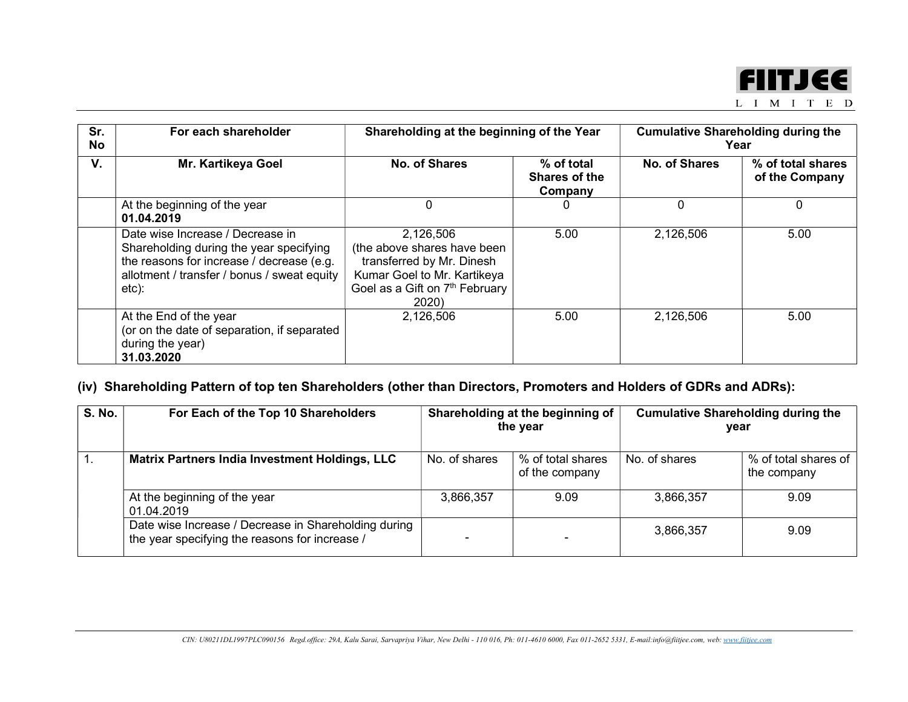

|  | VI |  | ) |
|--|----|--|---|
|  |    |  |   |

| Sr.<br>No | For each shareholder                                                                                                                                                             | Shareholding at the beginning of the Year                                                                                                                   |                                        | <b>Cumulative Shareholding during the</b><br>Year |                                     |
|-----------|----------------------------------------------------------------------------------------------------------------------------------------------------------------------------------|-------------------------------------------------------------------------------------------------------------------------------------------------------------|----------------------------------------|---------------------------------------------------|-------------------------------------|
| V.        | <b>Mr. Kartikeya Goel</b>                                                                                                                                                        | No. of Shares                                                                                                                                               | % of total<br>Shares of the<br>Company | No. of Shares                                     | % of total shares<br>of the Company |
|           | At the beginning of the year<br>01.04.2019                                                                                                                                       | 0                                                                                                                                                           |                                        | 0                                                 | 0                                   |
|           | Date wise Increase / Decrease in<br>Shareholding during the year specifying<br>the reasons for increase / decrease (e.g.<br>allotment / transfer / bonus / sweat equity<br>etc): | 2,126,506<br>(the above shares have been<br>transferred by Mr. Dinesh<br>Kumar Goel to Mr. Kartikeya<br>Goel as a Gift on 7 <sup>th</sup> February<br>2020) | 5.00                                   | 2,126,506                                         | 5.00                                |
|           | At the End of the year<br>(or on the date of separation, if separated<br>during the year)<br>31.03.2020                                                                          | 2,126,506                                                                                                                                                   | 5.00                                   | 2,126,506                                         | 5.00                                |

# (iv) Shareholding Pattern of top ten Shareholders (other than Directors, Promoters and Holders of GDRs and ADRs):

| <b>S. No.</b> | For Each of the Top 10 Shareholders                                                                    | Shareholding at the beginning of<br>the year |                                     | <b>Cumulative Shareholding during the</b><br>year |                                     |
|---------------|--------------------------------------------------------------------------------------------------------|----------------------------------------------|-------------------------------------|---------------------------------------------------|-------------------------------------|
|               | Matrix Partners India Investment Holdings, LLC                                                         | No. of shares                                | % of total shares<br>of the company | No. of shares                                     | % of total shares of<br>the company |
|               | At the beginning of the year<br>01.04.2019                                                             | 3,866,357                                    | 9.09                                | 3,866,357                                         | 9.09                                |
|               | Date wise Increase / Decrease in Shareholding during<br>the year specifying the reasons for increase / |                                              |                                     | 3,866,357                                         | 9.09                                |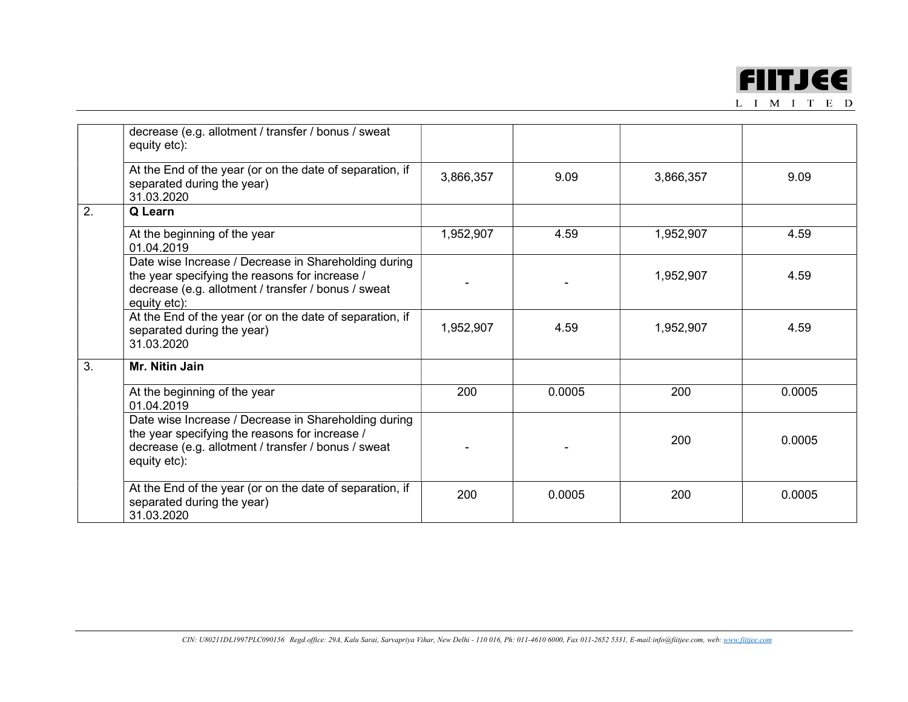

|    | decrease (e.g. allotment / transfer / bonus / sweat<br>equity etc):                                                                                                           |           |        |           |        |
|----|-------------------------------------------------------------------------------------------------------------------------------------------------------------------------------|-----------|--------|-----------|--------|
|    | At the End of the year (or on the date of separation, if<br>separated during the year)<br>31.03.2020                                                                          | 3,866,357 | 9.09   | 3,866,357 | 9.09   |
| 2. | Q Learn                                                                                                                                                                       |           |        |           |        |
|    | At the beginning of the year<br>01.04.2019                                                                                                                                    | 1,952,907 | 4.59   | 1,952,907 | 4.59   |
|    | Date wise Increase / Decrease in Shareholding during<br>the year specifying the reasons for increase /<br>decrease (e.g. allotment / transfer / bonus / sweat<br>equity etc): |           |        | 1,952,907 | 4.59   |
|    | At the End of the year (or on the date of separation, if<br>separated during the year)<br>31.03.2020                                                                          | 1,952,907 | 4.59   | 1,952,907 | 4.59   |
| 3. | Mr. Nitin Jain                                                                                                                                                                |           |        |           |        |
|    | At the beginning of the year<br>01.04.2019                                                                                                                                    | 200       | 0.0005 | 200       | 0.0005 |
|    | Date wise Increase / Decrease in Shareholding during<br>the year specifying the reasons for increase /<br>decrease (e.g. allotment / transfer / bonus / sweat<br>equity etc): |           |        | 200       | 0.0005 |
|    | At the End of the year (or on the date of separation, if<br>separated during the year)<br>31.03.2020                                                                          | 200       | 0.0005 | 200       | 0.0005 |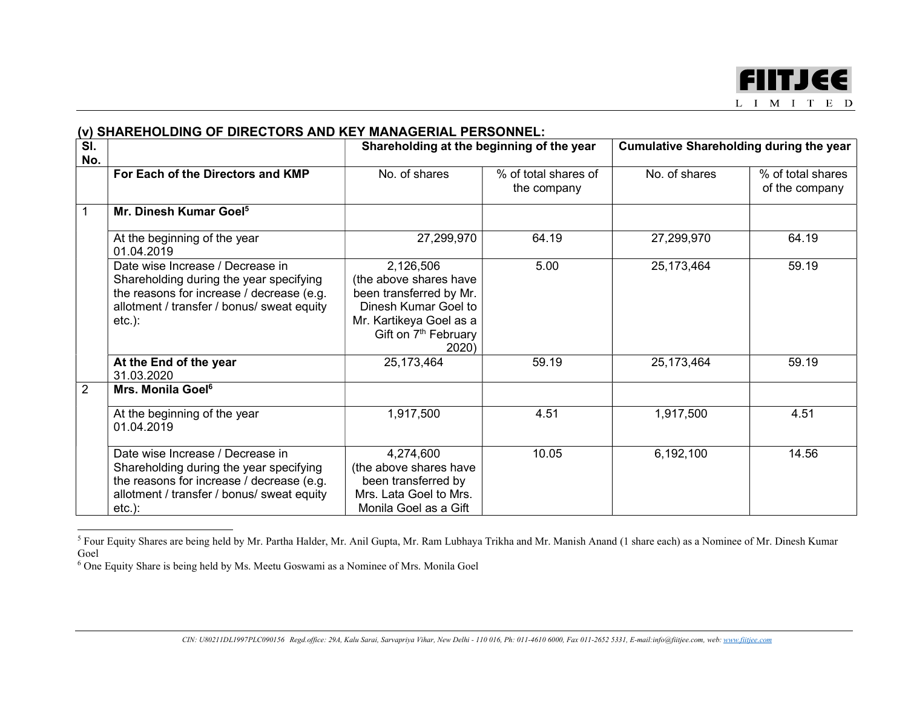

#### (v) SHAREHOLDING OF DIRECTORS AND KEY MANAGERIAL PERSONNEL: Sl. No. Shareholding at the beginning of the year Cumulative Shareholding during the year For Each of the Directors and KMP No. of shares We of total shares of the company No. of shares  $\frac{1}{2}$  % of total shares of the company 1 Mr. Dinesh Kumar Goel<sup>5</sup> At the beginning of the year 01.04.2019 27,299,970 64.19 27,299,970 64.19 Date wise Increase / Decrease in Shareholding during the year specifying the reasons for increase / decrease (e.g. allotment / transfer / bonus/ sweat equity etc.): 2,126,506 (the above shares have been transferred by Mr. Dinesh Kumar Goel to Mr. Kartikeya Goel as a Gift on 7<sup>th</sup> February 2020) 5.00 25,173,464 59.19 At the End of the year 31.03.2020 25,173,464 59.19 25,173,464 59.19 2 | Mrs. Monila Goel<sup>6</sup> At the beginning of the year 01.04.2019 1,917,500 4.51 1,917,500 4.51 Date wise Increase / Decrease in Shareholding during the year specifying the reasons for increase / decrease (e.g. allotment / transfer / bonus/ sweat equity etc.): 4,274,600 (the above shares have been transferred by Mrs. Lata Goel to Mrs. Monila Goel as a Gift 10.05 6,192,100 14.56

<sup>&</sup>lt;sup>5</sup> Four Equity Shares are being held by Mr. Partha Halder, Mr. Anil Gupta, Mr. Ram Lubhaya Trikha and Mr. Manish Anand (1 share each) as a Nominee of Mr. Dinesh Kumar Goel

<sup>&</sup>lt;sup>6</sup> One Equity Share is being held by Ms. Meetu Goswami as a Nominee of Mrs. Monila Goel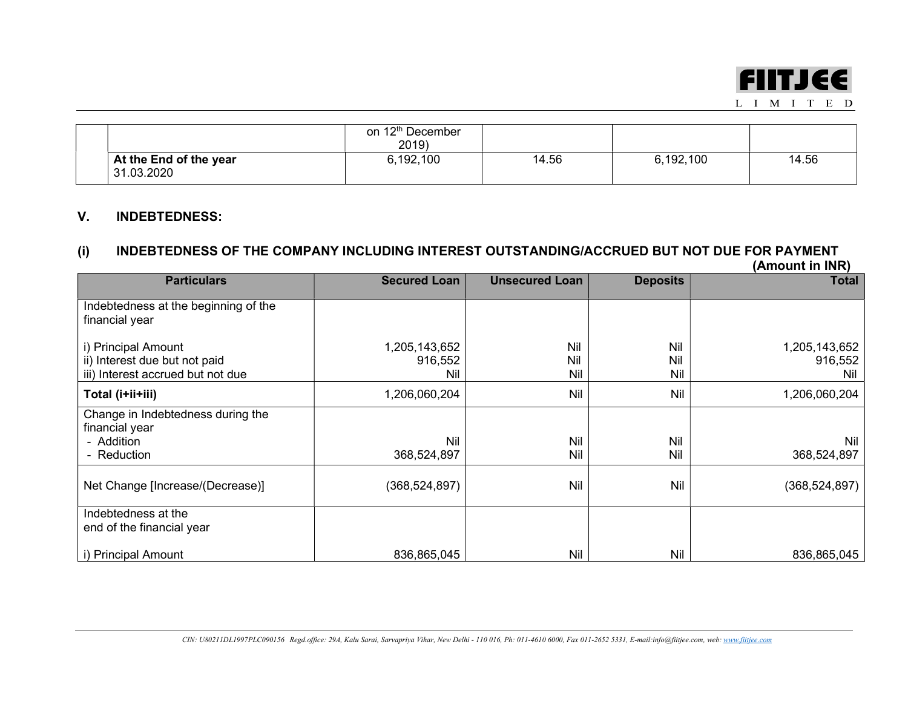

|                                      | on 12 <sup>th</sup> December<br>2019 |       |           |       |
|--------------------------------------|--------------------------------------|-------|-----------|-------|
| At the End of the year<br>31.03.2020 | 6,192,100                            | 14.56 | 6,192,100 | 14.56 |

## V. INDEBTEDNESS:

### (i) INDEBTEDNESS OF THE COMPANY INCLUDING INTEREST OUTSTANDING/ACCRUED BUT NOT DUE FOR PAYMENT (Amount in INR)

|                                                                                           |                                 |                       |                   | וריווי ווו וואטווראן            |
|-------------------------------------------------------------------------------------------|---------------------------------|-----------------------|-------------------|---------------------------------|
| <b>Particulars</b>                                                                        | <b>Secured Loan</b>             | <b>Unsecured Loan</b> | <b>Deposits</b>   | Total                           |
| Indebtedness at the beginning of the<br>financial year                                    |                                 |                       |                   |                                 |
| i) Principal Amount<br>ii) Interest due but not paid<br>iii) Interest accrued but not due | 1,205,143,652<br>916,552<br>Nil | Nil<br>Nil<br>Nil     | Nil<br>Nil<br>Nil | 1,205,143,652<br>916,552<br>Nil |
| Total (i+ii+iii)                                                                          | 1,206,060,204                   | Nil                   | Nil               | 1,206,060,204                   |
| Change in Indebtedness during the<br>financial year<br>- Addition<br>- Reduction          | Nil<br>368,524,897              | Nil<br>Nil            | Nil<br>Nil        | Nil<br>368,524,897              |
| Net Change [Increase/(Decrease)]                                                          | (368, 524, 897)                 | Nil                   | Nil               | (368, 524, 897)                 |
| Indebtedness at the<br>end of the financial year                                          |                                 |                       |                   |                                 |
| i) Principal Amount                                                                       | 836,865,045                     | Nil                   | Nil               | 836,865,045                     |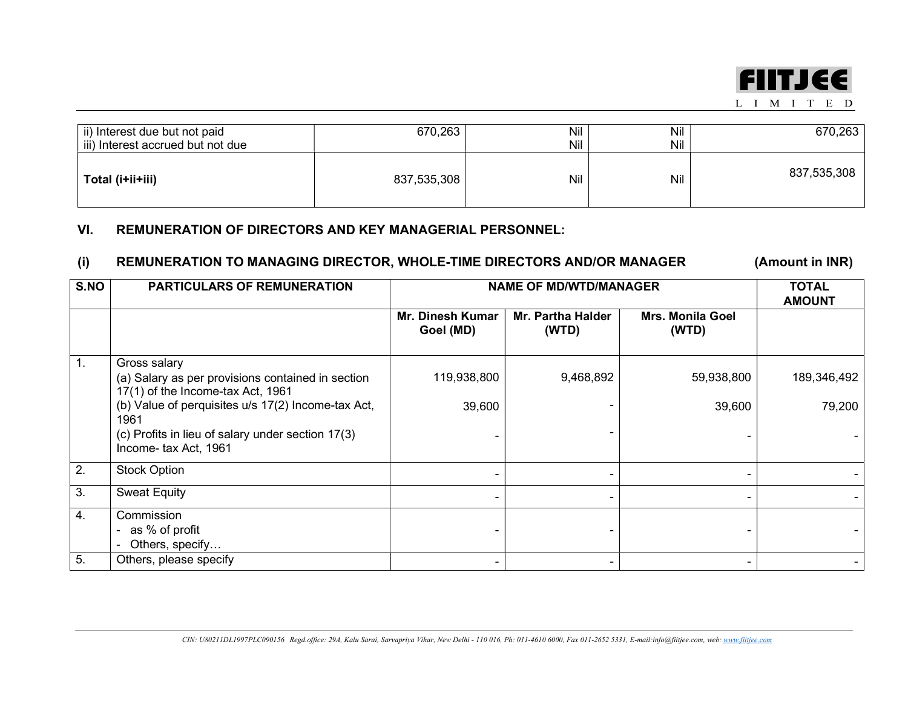

| ii) Interest due but not paid<br>iii) Interest accrued but not due | 670,263     | Nil<br>Nil | Nil<br>Nil | 670,263     |
|--------------------------------------------------------------------|-------------|------------|------------|-------------|
| Total (i+ii+iii)                                                   | 837,535,308 | Nil        | Nil        | 837,535,308 |

## VI. REMUNERATION OF DIRECTORS AND KEY MANAGERIAL PERSONNEL:

## (i) REMUNERATION TO MANAGING DIRECTOR, WHOLE-TIME DIRECTORS AND/OR MANAGER (Amount in INR)

| S.NO             | <b>PARTICULARS OF REMUNERATION</b>                                                                     | <b>NAME OF MD/WTD/MANAGER</b> | <b>TOTAL</b><br><b>AMOUNT</b> |                                  |             |
|------------------|--------------------------------------------------------------------------------------------------------|-------------------------------|-------------------------------|----------------------------------|-------------|
|                  |                                                                                                        | Mr. Dinesh Kumar<br>Goel (MD) | Mr. Partha Halder<br>(WTD)    | <b>Mrs. Monila Goel</b><br>(WTD) |             |
| $\mathbf{1}$ .   | Gross salary<br>(a) Salary as per provisions contained in section<br>17(1) of the Income-tax Act, 1961 | 119,938,800                   | 9,468,892                     | 59,938,800                       | 189,346,492 |
|                  | (b) Value of perquisites u/s 17(2) Income-tax Act,<br>1961                                             | 39,600                        |                               | 39,600                           | 79,200      |
|                  | (c) Profits in lieu of salary under section 17(3)<br>Income- tax Act, 1961                             |                               |                               |                                  |             |
| 2.               | <b>Stock Option</b>                                                                                    |                               |                               |                                  |             |
| 3.               | <b>Sweat Equity</b>                                                                                    |                               |                               |                                  |             |
| $\overline{4}$ . | Commission<br>as % of profit<br>Others, specify                                                        |                               |                               |                                  |             |
| 5.               | Others, please specify                                                                                 |                               |                               |                                  |             |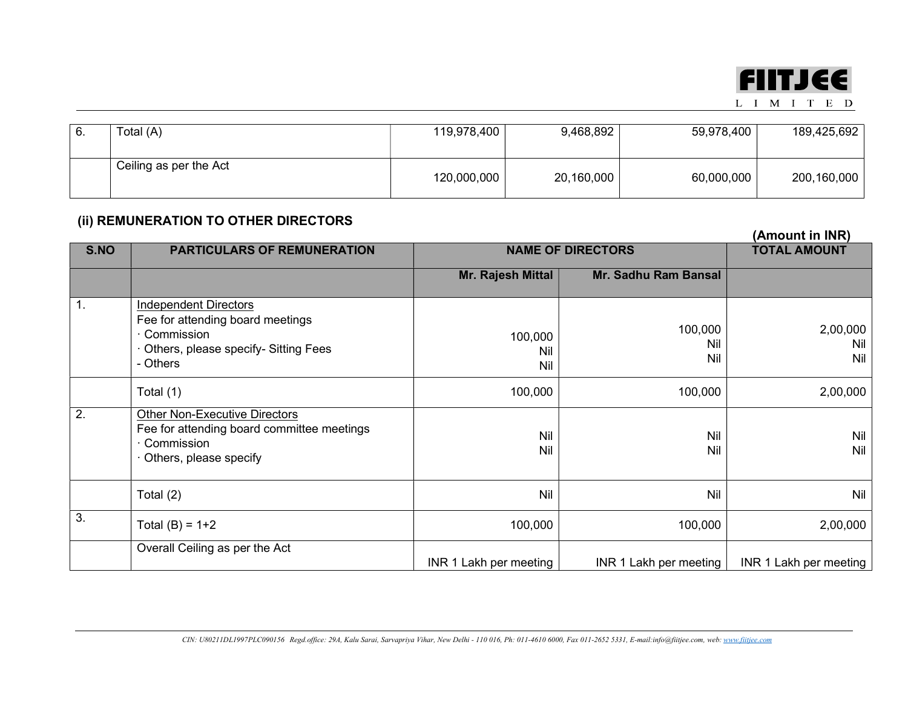

L I M I T E D

| Total (A)              | 119,978,400 | 9,468,892  | 59,978,400 | 189,425,692 |
|------------------------|-------------|------------|------------|-------------|
| Ceiling as per the Act | 120,000,000 | 20,160,000 | 60,000,000 | 200,160,000 |

## (ii) REMUNERATION TO OTHER DIRECTORS

|                  |                                                                                                                                      |                          |                        | (Amount in INR)        |
|------------------|--------------------------------------------------------------------------------------------------------------------------------------|--------------------------|------------------------|------------------------|
| S.NO             | <b>PARTICULARS OF REMUNERATION</b>                                                                                                   | <b>NAME OF DIRECTORS</b> | <b>TOTAL AMOUNT</b>    |                        |
|                  |                                                                                                                                      | Mr. Rajesh Mittal        | Mr. Sadhu Ram Bansal   |                        |
| 1.               | <b>Independent Directors</b><br>Fee for attending board meetings<br>· Commission<br>Others, please specify- Sitting Fees<br>- Others | 100,000<br>Nil<br>Nil    | 100,000<br>Nil<br>Nil  | 2,00,000<br>Nil<br>Nil |
|                  | Total (1)                                                                                                                            | 100,000                  | 100,000                | 2,00,000               |
| $\overline{2}$ . | <b>Other Non-Executive Directors</b><br>Fee for attending board committee meetings<br>$\cdot$ Commission<br>Others, please specify   | Nil<br>Nil               | Nil<br>Nil             | <b>Nil</b><br>Nil      |
|                  | Total (2)                                                                                                                            | Nil                      | Nil                    | Nil                    |
| 3.               | Total $(B) = 1+2$                                                                                                                    | 100,000                  | 100,000                | 2,00,000               |
|                  | Overall Ceiling as per the Act                                                                                                       | INR 1 Lakh per meeting   | INR 1 Lakh per meeting | INR 1 Lakh per meeting |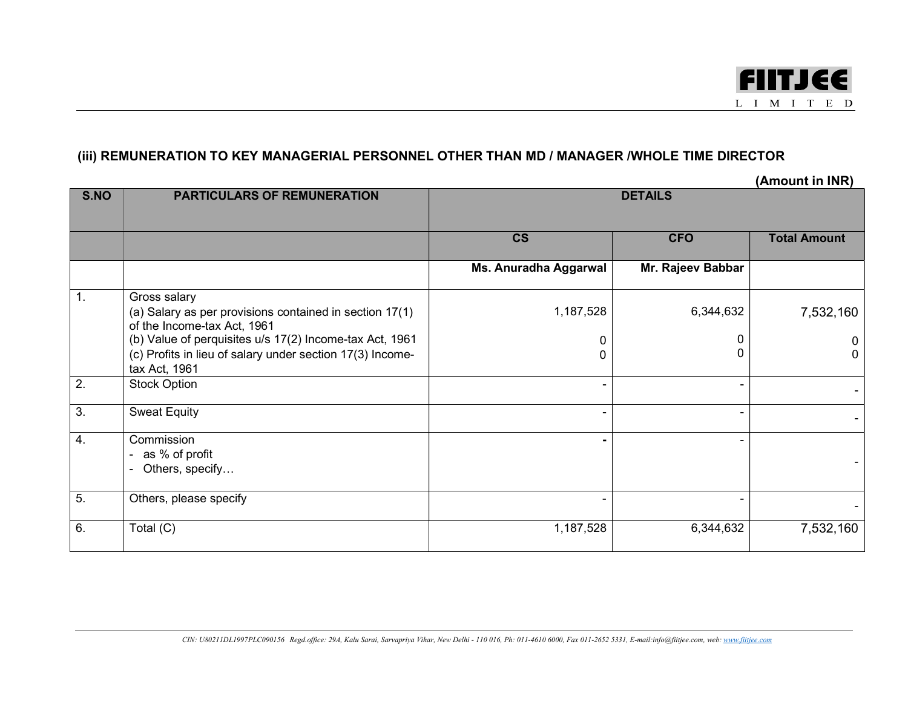

## (iii) REMUNERATION TO KEY MANAGERIAL PERSONNEL OTHER THAN MD / MANAGER /WHOLE TIME DIRECTOR

|                  |                                                                                                                                       |                          |                   | (Amount in INR)     |
|------------------|---------------------------------------------------------------------------------------------------------------------------------------|--------------------------|-------------------|---------------------|
| S.NO             | <b>PARTICULARS OF REMUNERATION</b>                                                                                                    | <b>DETAILS</b>           |                   |                     |
|                  |                                                                                                                                       | $\mathsf{CS}\phantom{0}$ | <b>CFO</b>        | <b>Total Amount</b> |
|                  |                                                                                                                                       | Ms. Anuradha Aggarwal    | Mr. Rajeev Babbar |                     |
| 1.               | Gross salary<br>(a) Salary as per provisions contained in section 17(1)<br>of the Income-tax Act, 1961                                | 1,187,528                | 6,344,632         | 7,532,160           |
|                  | (b) Value of perquisites u/s 17(2) Income-tax Act, 1961<br>(c) Profits in lieu of salary under section 17(3) Income-<br>tax Act, 1961 | 0<br>0                   |                   |                     |
| 2.               | <b>Stock Option</b>                                                                                                                   |                          |                   |                     |
| $\overline{3}$ . | <b>Sweat Equity</b>                                                                                                                   |                          |                   |                     |
| $\overline{4}$ . | Commission<br>as % of profit<br>Others, specify                                                                                       |                          |                   |                     |
| 5.               | Others, please specify                                                                                                                |                          |                   |                     |
| 6.               | Total (C)                                                                                                                             | 1,187,528                | 6,344,632         | 7,532,160           |